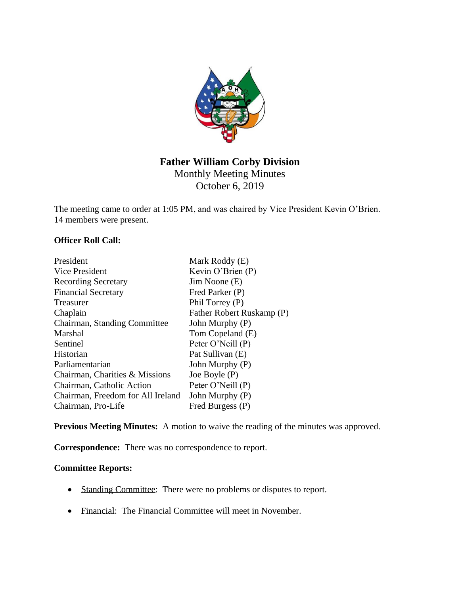

# **Father William Corby Division** Monthly Meeting Minutes

October 6, 2019

The meeting came to order at 1:05 PM, and was chaired by Vice President Kevin O'Brien. 14 members were present.

### **Officer Roll Call:**

| President                         | Mark Roddy (E)            |
|-----------------------------------|---------------------------|
| Vice President                    | Kevin O'Brien $(P)$       |
| <b>Recording Secretary</b>        | Jim Noone (E)             |
| <b>Financial Secretary</b>        | Fred Parker (P)           |
| <b>Treasurer</b>                  | Phil Torrey (P)           |
| Chaplain                          | Father Robert Ruskamp (P) |
| Chairman, Standing Committee      | John Murphy (P)           |
| Marshal                           | Tom Copeland (E)          |
| Sentinel                          | Peter O'Neill (P)         |
| <b>Historian</b>                  | Pat Sullivan (E)          |
| Parliamentarian                   | John Murphy (P)           |
| Chairman, Charities & Missions    | Joe Boyle $(P)$           |
| Chairman, Catholic Action         | Peter O'Neill (P)         |
| Chairman, Freedom for All Ireland | John Murphy (P)           |
| Chairman, Pro-Life                | Fred Burgess (P)          |

**Previous Meeting Minutes:** A motion to waive the reading of the minutes was approved.

**Correspondence:** There was no correspondence to report.

### **Committee Reports:**

- Standing Committee: There were no problems or disputes to report.
- Financial: The Financial Committee will meet in November.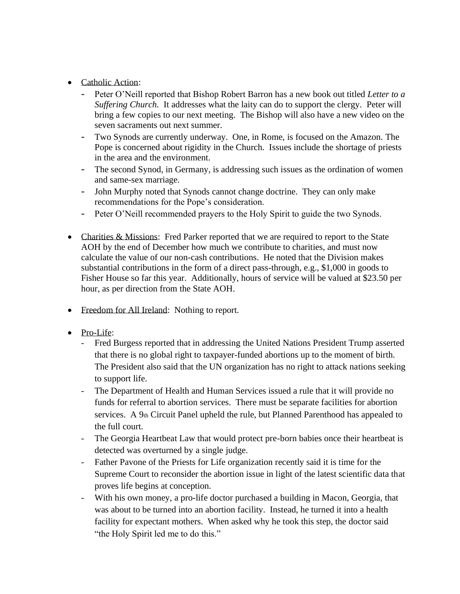- Catholic Action:
	- Peter O'Neill reported that Bishop Robert Barron has a new book out titled *Letter to a Suffering Church.* It addresses what the laity can do to support the clergy. Peter will bring a few copies to our next meeting. The Bishop will also have a new video on the seven sacraments out next summer.
	- Two Synods are currently underway. One, in Rome, is focused on the Amazon. The Pope is concerned about rigidity in the Church. Issues include the shortage of priests in the area and the environment.
	- The second Synod, in Germany, is addressing such issues as the ordination of women and same-sex marriage.
	- John Murphy noted that Synods cannot change doctrine. They can only make recommendations for the Pope's consideration.
	- Peter O'Neill recommended prayers to the Holy Spirit to guide the two Synods.
- Charities & Missions: Fred Parker reported that we are required to report to the State AOH by the end of December how much we contribute to charities, and must now calculate the value of our non-cash contributions. He noted that the Division makes substantial contributions in the form of a direct pass-through, e.g., \$1,000 in goods to Fisher House so far this year. Additionally, hours of service will be valued at \$23.50 per hour, as per direction from the State AOH.
- Freedom for All Ireland: Nothing to report.
- Pro-Life:
	- Fred Burgess reported that in addressing the United Nations President Trump asserted that there is no global right to taxpayer-funded abortions up to the moment of birth. The President also said that the UN organization has no right to attack nations seeking to support life.
	- The Department of Health and Human Services issued a rule that it will provide no funds for referral to abortion services. There must be separate facilities for abortion services. A 9th Circuit Panel upheld the rule, but Planned Parenthood has appealed to the full court.
	- The Georgia Heartbeat Law that would protect pre-born babies once their heartbeat is detected was overturned by a single judge.
	- Father Pavone of the Priests for Life organization recently said it is time for the Supreme Court to reconsider the abortion issue in light of the latest scientific data that proves life begins at conception.
	- With his own money, a pro-life doctor purchased a building in Macon, Georgia, that was about to be turned into an abortion facility. Instead, he turned it into a health facility for expectant mothers. When asked why he took this step, the doctor said "the Holy Spirit led me to do this."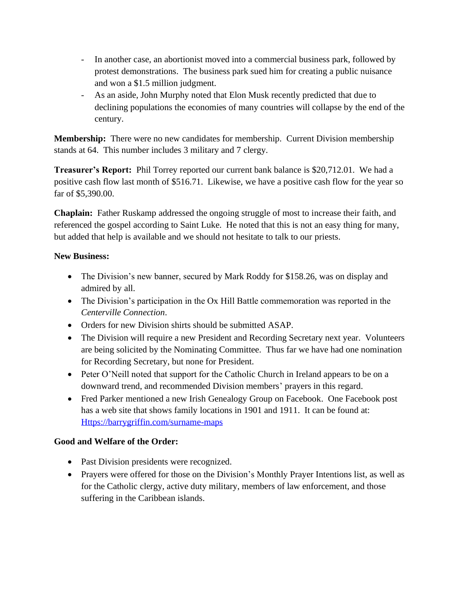- In another case, an abortionist moved into a commercial business park, followed by protest demonstrations. The business park sued him for creating a public nuisance and won a \$1.5 million judgment.
- As an aside, John Murphy noted that Elon Musk recently predicted that due to declining populations the economies of many countries will collapse by the end of the century.

**Membership:** There were no new candidates for membership.Current Division membership stands at 64. This number includes 3 military and 7 clergy.

**Treasurer's Report:** Phil Torrey reported our current bank balance is \$20,712.01. We had a positive cash flow last month of \$516.71. Likewise, we have a positive cash flow for the year so far of \$5,390.00.

**Chaplain:** Father Ruskamp addressed the ongoing struggle of most to increase their faith, and referenced the gospel according to Saint Luke. He noted that this is not an easy thing for many, but added that help is available and we should not hesitate to talk to our priests.

### **New Business:**

- The Division's new banner, secured by Mark Roddy for \$158.26, was on display and admired by all.
- The Division's participation in the Ox Hill Battle commemoration was reported in the *Centerville Connection*.
- Orders for new Division shirts should be submitted ASAP.
- The Division will require a new President and Recording Secretary next year. Volunteers are being solicited by the Nominating Committee. Thus far we have had one nomination for Recording Secretary, but none for President.
- Peter O'Neill noted that support for the Catholic Church in Ireland appears to be on a downward trend, and recommended Division members' prayers in this regard.
- Fred Parker mentioned a new Irish Genealogy Group on Facebook. One Facebook post has a web site that shows family locations in 1901 and 1911. It can be found at: [Https://barrygriffin.com/surname-maps](https://barrygriffin.com/surname-maps)

## **Good and Welfare of the Order:**

- Past Division presidents were recognized.
- Prayers were offered for those on the Division's Monthly Prayer Intentions list, as well as for the Catholic clergy, active duty military, members of law enforcement, and those suffering in the Caribbean islands.